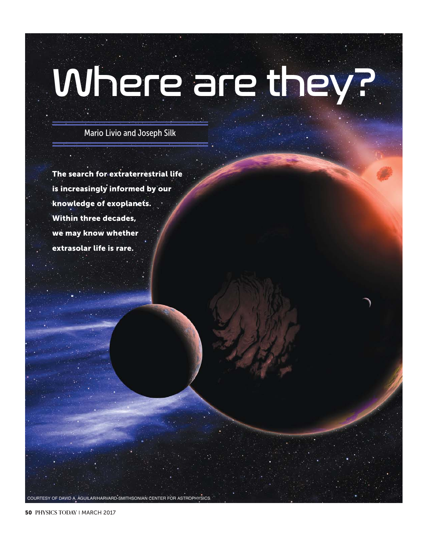# Where are they?

Mario Livio and Joseph Silk

**The search for extraterrestrial life is increasingly informed by our knowledge of exoplanets. Within three decades, we may know whether extrasolar life is rare.**

**50 PHYSICS TODAY** | MARCH 2017

COURTESY OF DAVID A. AGUILAR/HARVARD-SMITHSONIAN CENTER FOR ASTROPHYSICS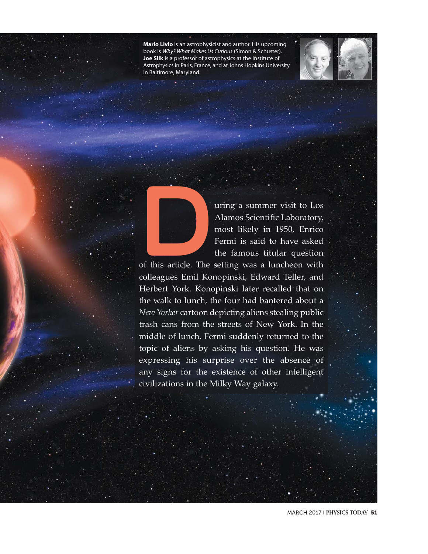**Mario Livio** is an astrophysicist and author. His upcoming book is *Why? What Makes Us Curious* (Simon & Schuster). **Joe Silk** is a professor of astrophysics at the Institute of Astrophysics in Paris, France, and at Johns Hopkins University in Baltimore, Maryland.





The Suring a summer visit to Los<br>Alamos Scientific Laboratory,<br>most likely in 1950, Enrico<br>Fermi is said to have asked<br>the famous titular question<br>of this article. The setting was a luncheon with<br>colleagues Emil Konopinski Alamos Scientific Laboratory, most likely in 1950, Enrico Fermi is said to have asked the famous titular question

of this article. The setting was a luncheon with colleagues Emil Konopinski, Edward Teller, and Herbert York. Konopinski later recalled that on the walk to lunch, the four had bantered about a *New Yorker* cartoon depicting aliens stealing public trash cans from the streets of New York. In the middle of lunch, Fermi suddenly returned to the topic of aliens by asking his question. He was expressing his surprise over the absence of any signs for the existence of other intelligent civilizations in the Milky Way galaxy.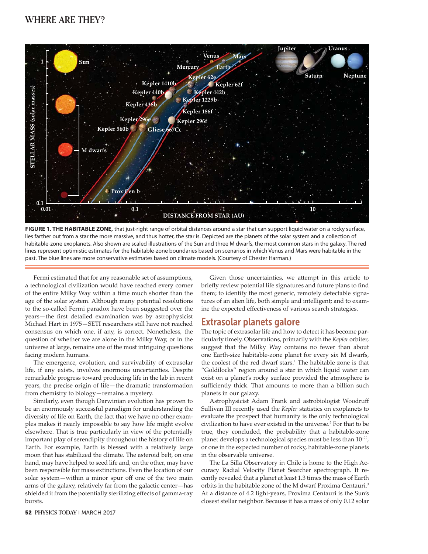

**FIGURE 1. THE HABITABLE ZONE,** that just-right range of orbital distances around a star that can support liquid water on a rocky surface, lies farther out from a star the more massive, and thus hotter, the star is. Depicted are the planets of the solar system and a collection of habitable-zone exoplanets. Also shown are scaled illustrations of the Sun and three M dwarfs, the most common stars in the galaxy. The red lines represent optimistic estimates for the habitable-zone boundaries based on scenarios in which Venus and Mars were habitable in the past. The blue lines are more conservative estimates based on climate models. (Courtesy of Chester Harman.)

Fermi estimated that for any reasonable set of assumptions, a technological civilization would have reached every corner of the entire Milky Way within a time much shorter than the age of the solar system. Although many potential resolutions to the so-called Fermi paradox have been suggested over the years—the first detailed examination was by astrophysicist Michael Hart in 1975—SETI researchers still have not reached consensus on which one, if any, is correct. Nonetheless, the question of whether we are alone in the Milky Way, or in the universe at large, remains one of the most intriguing questions facing modern humans.

The emergence, evolution, and survivability of extrasolar life, if any exists, involves enormous uncertainties. Despite remarkable progress toward producing life in the lab in recent years, the precise origin of life—the dramatic transformation from chemistry to biology—remains a mystery.

Similarly, even though Darwinian evolution has proven to be an enormously successful paradigm for understanding the diversity of life on Earth, the fact that we have no other examples makes it nearly impossible to say how life might evolve elsewhere. That is true particularly in view of the potentially important play of serendipity throughout the history of life on Earth. For example, Earth is blessed with a relatively large moon that has stabilized the climate. The asteroid belt, on one hand, may have helped to seed life and, on the other, may have been responsible for mass extinctions. Even the location of our solar system—within a minor spur off one of the two main arms of the galaxy, relatively far from the galactic center—has shielded it from the potentially sterilizing effects of gamma-ray bursts.

Given those uncertainties, we attempt in this article to briefly review potential life signatures and future plans to find them; to identify the most generic, remotely detectable signatures of an alien life, both simple and intelligent; and to examine the expected effectiveness of various search strategies.

The topic of extrasolar life and how to detect it has become particularly timely. Observations, primarily with the *Kepler* orbiter, suggest that the Milky Way contains no fewer than about one Earth-size habitable-zone planet for every six M dwarfs, the coolest of the red dwarf stars.<sup>1</sup> The habitable zone is that "Goldilocks" region around a star in which liquid water can exist on a planet's rocky surface provided the atmosphere is sufficiently thick. That amounts to more than a billion such planets in our galaxy.

Astrophysicist Adam Frank and astrobiologist Woodruff Sullivan III recently used the *Kepler* statistics on exoplanets to evaluate the prospect that humanity is the only technological civilization to have ever existed in the universe.<sup>2</sup> For that to be true, they concluded, the probability that a habitable-zone planet develops a technological species must be less than 10<sup>-22</sup>, or one in the expected number of rocky, habitable-zone planets in the observable universe.

The La Silla Observatory in Chile is home to the High Accuracy Radial Velocity Planet Searcher spectrograph. It recently revealed that a planet at least 1.3 times the mass of Earth orbits in the habitable zone of the M dwarf Proxima Centauri.<sup>3</sup> At a distance of 4.2 light-years, Proxima Centauri is the Sun's closest stellar neighbor. Because it has a mass of only 0.12 solar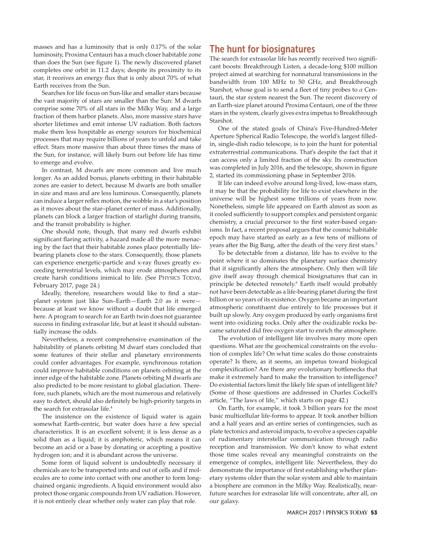masses and has a luminosity that is only 0.17% of the solar luminosity, Proxima Centauri has a much closer habitable zone than does the Sun (see figure 1). The newly discovered planet completes one orbit in 11.2 days; despite its proximity to its star, it receives an energy flux that is only about 70% of what Earth receives from the Sun.

Searches for life focus on Sun-like and smaller stars because the vast majority of stars are smaller than the Sun: M dwarfs comprise some 70% of all stars in the Milky Way, and a large fraction of them harbor planets. Also, more massive stars have shorter lifetimes and emit intense UV radiation. Both factors make them less hospitable as energy sources for biochemical processes that may require billions of years to unfold and take effect. Stars more massive than about three times the mass of the Sun, for instance, will likely burn out before life has time to emerge and evolve.

In contrast, M dwarfs are more common and live much longer. As an added bonus, planets orbiting in their habitable zones are easier to detect, because M dwarfs are both smaller in size and mass and are less luminous. Consequently, planets can induce a larger reflex motion, the wobble in a star's position as it moves about the star–planet center of mass. Additionally, planets can block a larger fraction of starlight during transits, and the transit probability is higher.

One should note, though, that many red dwarfs exhibit significant flaring activity, a hazard made all the more menacing by the fact that their habitable zones place potentially lifebearing planets close to the stars. Consequently, those planets can experience energetic-particle and x-ray fluxes greatly exceeding terrestrial levels, which may erode atmospheres and create harsh conditions inimical to life. (See PHYSICS TODAY, February 2017, page 24.)

Ideally, therefore, researchers would like to find a star– planet system just like Sun–Earth—Earth 2.0 as it were because at least we know without a doubt that life emerged here. A program to search for an Earth twin does not guarantee success in finding extrasolar life, but at least it should substantially increase the odds.

Nevertheless, a recent comprehensive examination of the habitability of planets orbiting M dwarf stars concluded that some features of their stellar and planetary environments could confer advantages. For example, synchronous rotation could improve habitable conditions on planets orbiting at the inner edge of the habitable zone. Planets orbiting M dwarfs are also predicted to be more resistant to global glaciation. Therefore, such planets, which are the most numerous and relatively easy to detect, should also definitely be high-priority targets in the search for extrasolar life.<sup>4</sup>

The insistence on the existence of liquid water is again somewhat Earth-centric, but water does have a few special characteristics. It is an excellent solvent; it is less dense as a solid than as a liquid; it is amphoteric, which means it can become an acid or a base by donating or accepting a positive hydrogen ion; and it is abundant across the universe.

Some form of liquid solvent is undoubtedly necessary if chemicals are to be transported into and out of cells and if molecules are to come into contact with one another to form longchained organic ingredients. A liquid environment would also protect those organic compounds from UV radiation. However, it is not entirely clear whether only water can play that role.

The search for extrasolar life has recently received two significant boosts: Breakthrough Listen, a decade-long \$100 million project aimed at searching for nonnatural transmissions in the bandwidth from 100 MHz to 50 GHz, and Breakthrough Starshot, whose goal is to send a fleet of tiny probes to *α* Centauri, the star system nearest the Sun. The recent discovery of an Earth-size planet around Proxima Centauri, one of the three stars in the system, clearly gives extra impetus to Breakthrough **Starshot** 

One of the stated goals of China's Five-Hundred-Meter Aperture Spherical Radio Telescope, the world's largest filledin, single-dish radio telescope, is to join the hunt for potential extraterrestrial communications. That's despite the fact that it can access only a limited fraction of the sky. Its construction was completed in July 2016, and the telescope, shown in figure 2, started its commissioning phase in September 2016.

If life can indeed evolve around long-lived, low-mass stars, it may be that the probability for life to exist elsewhere in the universe will be highest some trillions of years from now. Nonetheless, simple life appeared on Earth almost as soon as it cooled sufficiently to support complex and persistent organic chemistry, a crucial precursor to the first water-based organisms. In fact, a recent proposal argues that the cosmic habitable epoch may have started as early as a few tens of millions of years after the Big Bang, after the death of the very first stars.<sup>5</sup>

To be detectable from a distance, life has to evolve to the point where it so dominates the planetary surface chemistry that it significantly alters the atmosphere. Only then will life give itself away through chemical biosignatures that can in principle be detected remotely.<sup>6</sup> Earth itself would probably not have been detectable as a life-bearing planet during the first billion or so years of its existence. Oxygen became an important atmospheric constituent due entirely to life processes but it built up slowly. Any oxygen produced by early organisms first went into oxidizing rocks. Only after the oxidizable rocks became saturated did free oxygen start to enrich the atmosphere.

The evolution of intelligent life involves many more open questions. What are the geochemical constraints on the evolution of complex life? On what time scales do those constraints operate? Is there, as it seems, an impetus toward biological complexification? Are there any evolutionary bottlenecks that make it extremely hard to make the transition to intelligence? Do existential factors limit the likely life span of intelligent life? (Some of those questions are addressed in Charles Cockell's article, "The laws of life," which starts on page 42.)

On Earth, for example, it took 3 billion years for the most basic multicellular life-forms to appear. It took another billion and a half years and an entire series of contingencies, such as plate tectonics and asteroid impacts, to evolve a species capable of rudimentary interstellar communication through radio reception and transmission. We don't know to what extent those time scales reveal any meaningful constraints on the emergence of complex, intelligent life. Nevertheless, they do demonstrate the importance of first establishing whether planetary systems older than the solar system and able to maintain a biosphere are common in the Milky Way. Realistically, nearfuture searches for extrasolar life will concentrate, after all, on our galaxy.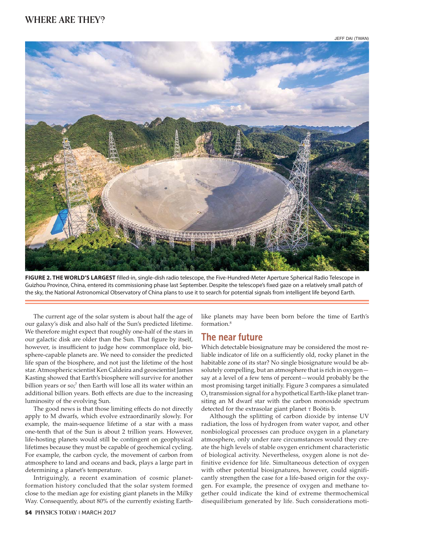

**FIGURE 2. THE WORLD'S LARGEST** filled-in, single-dish radio telescope, the Five-Hundred-Meter Aperture Spherical Radio Telescope in Guizhou Province, China, entered its commissioning phase last September. Despite the telescope's fixed gaze on a relatively small patch of the sky, the National Astronomical Observatory of China plans to use it to search for potential signals from intelligent life beyond Earth.

The current age of the solar system is about half the age of our galaxy's disk and also half of the Sun's predicted lifetime. We therefore might expect that roughly one-half of the stars in our galactic disk are older than the Sun. That figure by itself, however, is insufficient to judge how commonplace old, biosphere-capable planets are. We need to consider the predicted life span of the biosphere, and not just the lifetime of the host star. Atmospheric scientist Ken Caldeira and geoscientist James Kasting showed that Earth's biosphere will survive for another billion years or so;<sup>7</sup> then Earth will lose all its water within an additional billion years. Both effects are due to the increasing luminosity of the evolving Sun.

The good news is that those limiting effects do not directly apply to M dwarfs, which evolve extraordinarily slowly. For example, the main-sequence lifetime of a star with a mass one-tenth that of the Sun is about 2 trillion years. However, life-hosting planets would still be contingent on geophysical lifetimes because they must be capable of geochemical cycling. For example, the carbon cycle, the movement of carbon from atmosphere to land and oceans and back, plays a large part in determining a planet's temperature.

Intriguingly, a recent examination of cosmic planetformation history concluded that the solar system formed close to the median age for existing giant planets in the Milky Way. Consequently, about 80% of the currently existing Earth-

**54 PHYSICS TODAY** | MARCH 2017

like planets may have been born before the time of Earth's formation.8

# The near future

Which detectable biosignature may be considered the most reliable indicator of life on a sufficiently old, rocky planet in the habitable zone of its star? No single biosignature would be absolutely compelling, but an atmosphere that is rich in oxygen say at a level of a few tens of percent—would probably be the most promising target initially. Figure 3 compares a simulated O<sub>2</sub> transmission signal for a hypothetical Earth-like planet transiting an M dwarf star with the carbon monoxide spectrum detected for the extrasolar giant planet *τ* Boötis b.

Although the splitting of carbon dioxide by intense UV radiation, the loss of hydrogen from water vapor, and other nonbiological processes can produce oxygen in a planetary atmosphere, only under rare circumstances would they create the high levels of stable oxygen enrichment characteristic of biological activity. Nevertheless, oxygen alone is not definitive evidence for life. Simultaneous detection of oxygen with other potential biosignatures, however, could significantly strengthen the case for a life-based origin for the oxygen. For example, the presence of oxygen and methane together could indicate the kind of extreme thermochemical disequilibrium generated by life. Such considerations moti-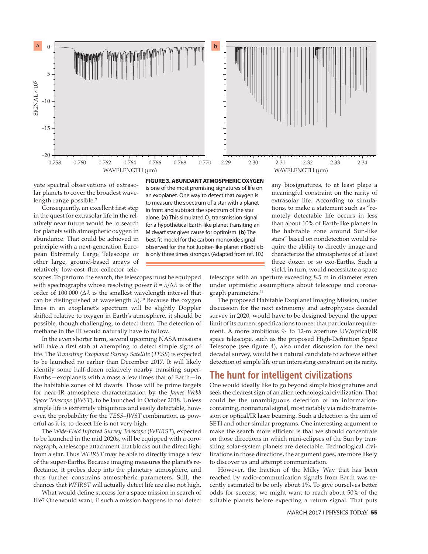

vate spectral observations of extrasolar planets to cover the broadest wavelength range possible.<sup>9</sup>

Consequently, an excellent first step in the quest for extrasolar life in the relatively near future would be to search for planets with atmospheric oxygen in abundance. That could be achieved in principle with a next-generation European Extremely Large Telescope or other large, ground-based arrays of relatively low-cost flux collector tele-

scopes. To perform the search, the telescopes must be equipped with spectrographs whose resolving power  $R = \lambda/\Delta\lambda$  is of the order of 100 000 (Δ*λ* is the smallest wavelength interval that can be distinguished at wavelength *λ*).10 Because the oxygen lines in an exoplanet's spectrum will be slightly Doppler shifted relative to oxygen in Earth's atmosphere, it should be possible, though challenging, to detect them. The detection of methane in the IR would naturally have to follow.

In the even shorter term, several upcoming NASA missions will take a first stab at attempting to detect simple signs of life. The *Transiting Exoplanet Survey Satellite* (*TESS*) is expected to be launched no earlier than December 2017. It will likely identify some half-dozen relatively nearby transiting super-Earths—exoplanets with a mass a few times that of Earth—in the habitable zones of M dwarfs. Those will be prime targets for near-IR atmosphere characterization by the *James Webb Space Telescope* (*JWST*), to be launched in October 2018. Unless simple life is extremely ubiquitous and easily detectable, however, the probability for the *TESS*–*JWST* combination, as powerful as it is, to detect life is not very high.

The *Wide-Field Infrared Survey Telescope* (*WFIRST*), expected to be launched in the mid 2020s, will be equipped with a coronagraph, a telescope attachment that blocks out the direct light from a star. Thus *WFIRST* may be able to directly image a few of the super-Earths. Because imaging measures the planet's reflectance, it probes deep into the planetary atmosphere, and thus further constrains atmospheric parameters. Still, the chances that *WFIRST* will actually detect life are also not high.

What would define success for a space mission in search of life? One would want, if such a mission happens to not detect

**FIGURE 3. ABUNDANT ATMOSPHERIC OXYGEN** is one of the most promising signatures of life on an exoplanet. One way to detect that oxygen is to measure the spectrum of a star with a planet in front and subtract the spectrum of the star alone. **(a)** This simulated  $O<sub>2</sub>$  transmission signal for a hypothetical Earth-like planet transiting an M dwarf star gives cause for optimism. **(b)** The best fit model for the carbon monoxide signal observed for the hot Jupiter-like planet *τ* Boötis b is only three times stronger. (Adapted from ref. 10.)

any biosignatures, to at least place a meaningful constraint on the rarity of extrasolar life. According to simulations, to make a statement such as "remotely detectable life occurs in less than about 10% of Earth-like planets in the habitable zone around Sun-like stars" based on nondetection would require the ability to directly image and characterize the atmospheres of at least three dozen or so exo-Earths. Such a yield, in turn, would necessitate a space

telescope with an aperture exceeding 8.5 m in diameter even under optimistic assumptions about telescope and coronagraph parameters.<sup>11</sup>

The proposed Habitable Exoplanet Imaging Mission, under discussion for the next astronomy and astrophysics decadal survey in 2020, would have to be designed beyond the upper limit of its current specifications to meet that particular requirement. A more ambitious 9- to 12-m aperture UV/optical/IR space telescope, such as the proposed High-Definition Space Telescope (see figure 4), also under discussion for the next decadal survey, would be a natural candidate to achieve either detection of simple life or an interesting constraint on its rarity.

The hunted contributions of the civilization of the hunted contributions of the would ideally like to go beyond simple biosignatures and seek the clearest sign of an alien technological civilization. That could be the unambiguous detection of an informationcontaining, nonnatural signal, most notably via radio transmission or optical/IR laser beaming. Such a detection is the aim of SETI and other similar programs. One interesting argument to make the search more efficient is that we should concentrate on those directions in which mini-eclipses of the Sun by transiting solar-system planets are detectable. Technological civilizations in those directions, the argument goes, are more likely to discover us and attempt communication.

However, the fraction of the Milky Way that has been reached by radio-communication signals from Earth was recently estimated to be only about 1%. To give ourselves better odds for success, we might want to reach about 50% of the suitable planets before expecting a return signal. That puts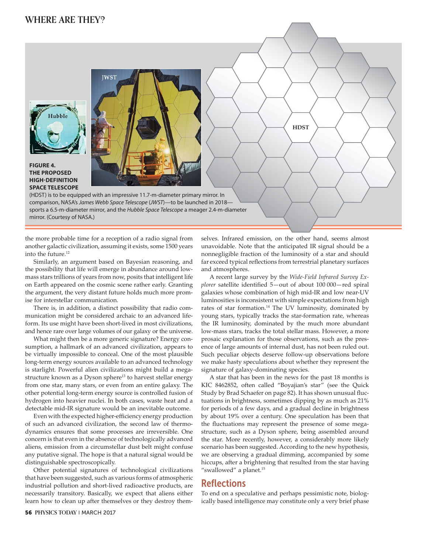**FIGURE 4.** 



(HDST) is to be equipped with an impressive 11.7-m-diameter primary mirror. In comparison, NASA's *James Webb Space Telescope* (*JWST*)—to be launched in 2018 sports a 6.5-m-diameter mirror, and the *Hubble Space Telescope* a meager 2.4-m-diameter mirror. (Courtesy of NASA.)

the more probable time for a reception of a radio signal from another galactic civilization, assuming it exists, some 1500 years into the future.12

Similarly, an argument based on Bayesian reasoning, and the possibility that life will emerge in abundance around lowmass stars trillions of years from now, posits that intelligent life on Earth appeared on the cosmic scene rather early. Granting the argument, the very distant future holds much more promise for interstellar communication.

There is, in addition, a distinct possibility that radio communication might be considered archaic to an advanced lifeform. Its use might have been short-lived in most civilizations, and hence rare over large volumes of our galaxy or the universe.

What might then be a more generic signature? Energy consumption, a hallmark of an advanced civilization, appears to be virtually impossible to conceal. One of the most plausible long-term energy sources available to an advanced technology is starlight. Powerful alien civilizations might build a megastructure known as a Dyson sphere<sup>13</sup> to harvest stellar energy from one star, many stars, or even from an entire galaxy. The other potential long-term energy source is controlled fusion of hydrogen into heavier nuclei. In both cases, waste heat and a detectable mid-IR signature would be an inevitable outcome.

Even with the expected higher-efficiency energy production of such an advanced civilization, the second law of thermodynamics ensures that some processes are irreversible. One concern is that even in the absence of technologically advanced aliens, emission from a circumstellar dust belt might confuse any putative signal. The hope is that a natural signal would be distinguishable spectroscopically.

Other potential signatures of technological civilizations that have been suggested, such as various forms of atmospheric industrial pollution and short-lived radioactive products, are necessarily transitory. Basically, we expect that aliens either learn how to clean up after themselves or they destroy them-

**56 PHYSICS TODAY** | MARCH 2017

selves. Infrared emission, on the other hand, seems almost unavoidable. Note that the anticipated IR signal should be a nonnegligible fraction of the luminosity of a star and should far exceed typical reflections from terrestrial planetary surfaces and atmospheres.

**HDST**

A recent large survey by the *Wide-Field Infrared Survey Explorer* satellite identified 5—out of about 100 000—red spiral galaxies whose combination of high mid-IR and low near-UV luminosities is inconsistent with simple expectations from high rates of star formation.<sup>14</sup> The UV luminosity, dominated by young stars, typically tracks the star-formation rate, whereas the IR luminosity, dominated by the much more abundant low-mass stars, tracks the total stellar mass. However, a more prosaic explanation for those observations, such as the presence of large amounts of internal dust, has not been ruled out. Such peculiar objects deserve follow-up observations before we make hasty speculations about whether they represent the signature of galaxy-dominating species.

A star that has been in the news for the past 18 months is KIC 8462852, often called "Boyajian's star" (see the Quick Study by Brad Schaefer on page 82). It has shown unusual fluctuations in brightness, sometimes dipping by as much as 21% for periods of a few days, and a gradual decline in brightness by about 19% over a century. One speculation has been that the fluctuations may represent the presence of some megastructure, such as a Dyson sphere, being assembled around the star. More recently, however, a considerably more likely scenario has been suggested. According to the new hypothesis, we are observing a gradual dimming, accompanied by some hiccups, after a brightening that resulted from the star having "swallowed" a planet.<sup>15</sup>

## **Reflections**

To end on a speculative and perhaps pessimistic note, biologically based intelligence may constitute only a very brief phase